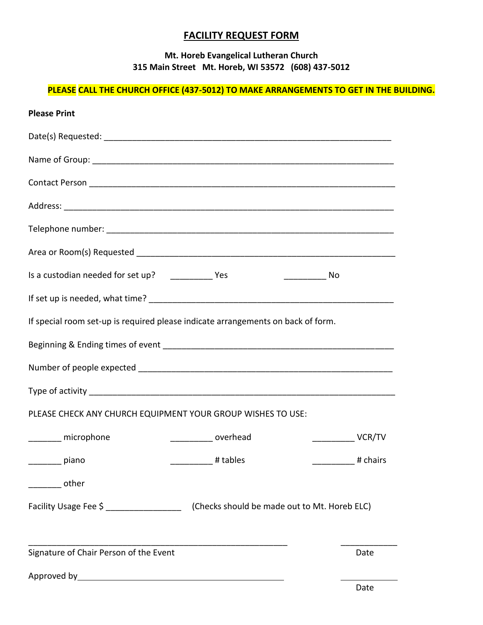# **FACILITY REQUEST FORM**

## **Mt. Horeb Evangelical Lutheran Church 315 Main Street Mt. Horeb, WI 53572 (608) 437-5012**

# **PLEASE CALL THE CHURCH OFFICE (437-5012) TO MAKE ARRANGEMENTS TO GET IN THE BUILDING.**

| <b>Please Print</b>                                                              |                                                                         |
|----------------------------------------------------------------------------------|-------------------------------------------------------------------------|
|                                                                                  |                                                                         |
|                                                                                  |                                                                         |
|                                                                                  |                                                                         |
|                                                                                  |                                                                         |
|                                                                                  |                                                                         |
|                                                                                  |                                                                         |
| ——————————— No                                                                   |                                                                         |
|                                                                                  |                                                                         |
| If special room set-up is required please indicate arrangements on back of form. |                                                                         |
|                                                                                  |                                                                         |
|                                                                                  |                                                                         |
|                                                                                  |                                                                         |
| PLEASE CHECK ANY CHURCH EQUIPMENT YOUR GROUP WISHES TO USE:                      |                                                                         |
| ________ microphone<br>____________ overhead                                     | $\overline{\phantom{iiiiiiiiiiiiiiiiiiiiiiiiiiiiiiiiiiiiii}} \, VCR/TV$ |
| # tables<br>piano                                                                | # chairs                                                                |
| other                                                                            |                                                                         |
|                                                                                  |                                                                         |
|                                                                                  |                                                                         |
| Signature of Chair Person of the Event                                           | Date                                                                    |
|                                                                                  | ∩ate                                                                    |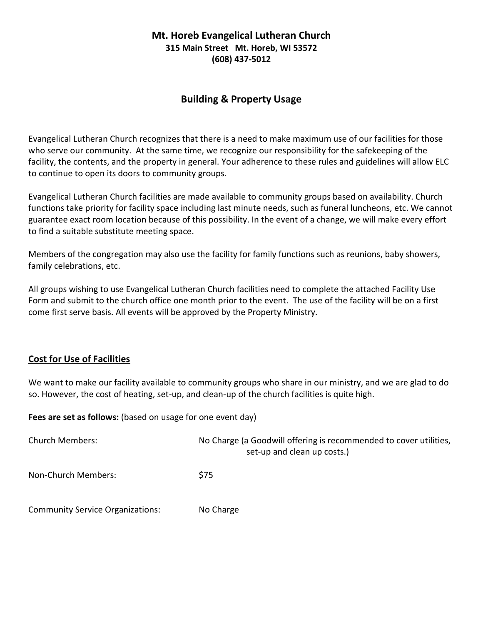### **Mt. Horeb Evangelical Lutheran Church 315 Main Street Mt. Horeb, WI 53572 (608) 437-5012**

# **Building & Property Usage**

Evangelical Lutheran Church recognizes that there is a need to make maximum use of our facilities for those who serve our community. At the same time, we recognize our responsibility for the safekeeping of the facility, the contents, and the property in general. Your adherence to these rules and guidelines will allow ELC to continue to open its doors to community groups.

Evangelical Lutheran Church facilities are made available to community groups based on availability. Church functions take priority for facility space including last minute needs, such as funeral luncheons, etc. We cannot guarantee exact room location because of this possibility. In the event of a change, we will make every effort to find a suitable substitute meeting space.

Members of the congregation may also use the facility for family functions such as reunions, baby showers, family celebrations, etc.

All groups wishing to use Evangelical Lutheran Church facilities need to complete the attached Facility Use Form and submit to the church office one month prior to the event. The use of the facility will be on a first come first serve basis. All events will be approved by the Property Ministry.

#### **Cost for Use of Facilities**

We want to make our facility available to community groups who share in our ministry, and we are glad to do so. However, the cost of heating, set-up, and clean-up of the church facilities is quite high.

**Fees are set as follows:** (based on usage for one event day)

| <b>Church Members:</b>                  | No Charge (a Goodwill offering is recommended to cover utilities,<br>set-up and clean up costs.) |
|-----------------------------------------|--------------------------------------------------------------------------------------------------|
| Non-Church Members:                     | \$75                                                                                             |
| <b>Community Service Organizations:</b> | No Charge                                                                                        |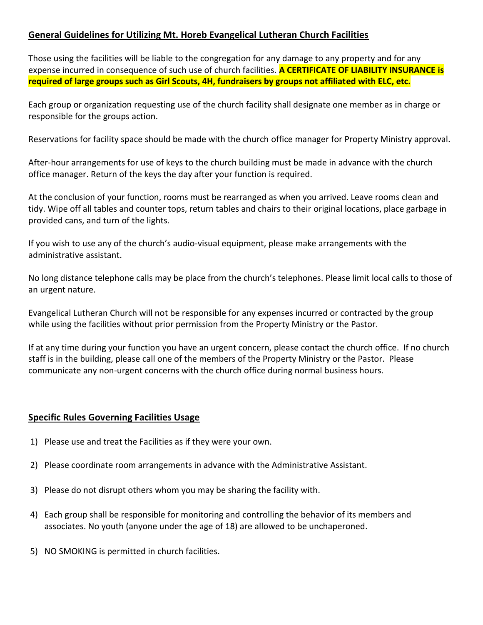### **General Guidelines for Utilizing Mt. Horeb Evangelical Lutheran Church Facilities**

Those using the facilities will be liable to the congregation for any damage to any property and for any expense incurred in consequence of such use of church facilities. **A CERTIFICATE OF LIABILITY INSURANCE is required of large groups such as Girl Scouts, 4H, fundraisers by groups not affiliated with ELC, etc.**

Each group or organization requesting use of the church facility shall designate one member as in charge or responsible for the groups action.

Reservations for facility space should be made with the church office manager for Property Ministry approval.

After-hour arrangements for use of keys to the church building must be made in advance with the church office manager. Return of the keys the day after your function is required.

At the conclusion of your function, rooms must be rearranged as when you arrived. Leave rooms clean and tidy. Wipe off all tables and counter tops, return tables and chairs to their original locations, place garbage in provided cans, and turn of the lights.

If you wish to use any of the church's audio-visual equipment, please make arrangements with the administrative assistant.

No long distance telephone calls may be place from the church's telephones. Please limit local calls to those of an urgent nature.

Evangelical Lutheran Church will not be responsible for any expenses incurred or contracted by the group while using the facilities without prior permission from the Property Ministry or the Pastor.

If at any time during your function you have an urgent concern, please contact the church office. If no church staff is in the building, please call one of the members of the Property Ministry or the Pastor. Please communicate any non-urgent concerns with the church office during normal business hours.

### **Specific Rules Governing Facilities Usage**

- 1) Please use and treat the Facilities as if they were your own.
- 2) Please coordinate room arrangements in advance with the Administrative Assistant.
- 3) Please do not disrupt others whom you may be sharing the facility with.
- 4) Each group shall be responsible for monitoring and controlling the behavior of its members and associates. No youth (anyone under the age of 18) are allowed to be unchaperoned.
- 5) NO SMOKING is permitted in church facilities.